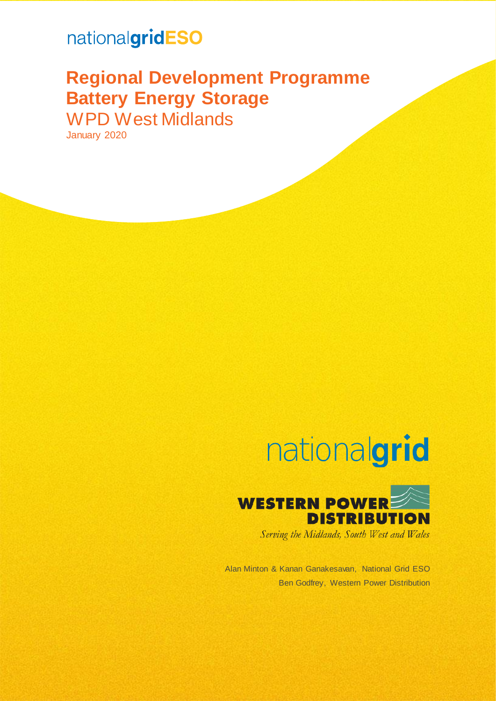## nationalgridESO

## **Regional Development Programme Battery Energy Storage** WPD West Midlands

January 2020

# nationalgrid



Serving the Midlands, South West and Wales

Alan Minton & Kanan Ganakesavan, National Grid ESO Ben Godfrey, Western Power Distribution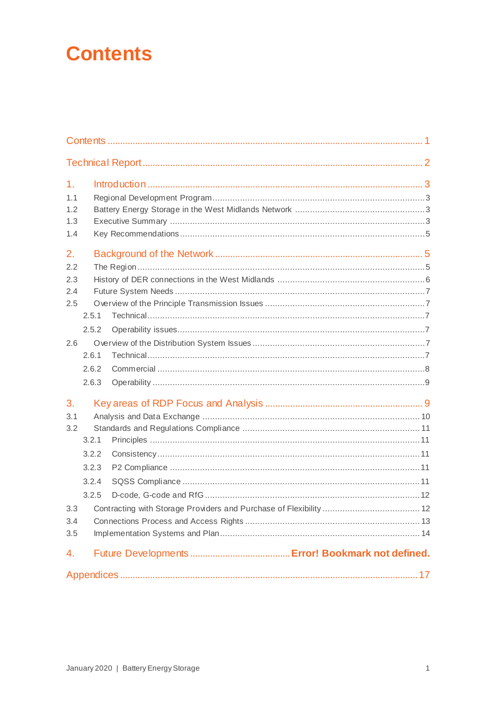## <span id="page-1-0"></span>**Contents**

| 1 <sub>r</sub><br>1.1<br>1.2<br>1.3<br>1.4 |                                           |  |  |  |
|--------------------------------------------|-------------------------------------------|--|--|--|
| 2.<br>2.2<br>2.3<br>2.4<br>2.5             | 2.5.1<br>2.5.2                            |  |  |  |
| 2.6                                        | 2.6.1<br>2.6.2<br>2.6.3                   |  |  |  |
| 3.<br>3.1<br>3.2                           | 3.2.1<br>3.2.2<br>3.2.3<br>3.2.4<br>3.2.5 |  |  |  |
| 3.4<br>3.5                                 |                                           |  |  |  |
| 4.                                         |                                           |  |  |  |
|                                            |                                           |  |  |  |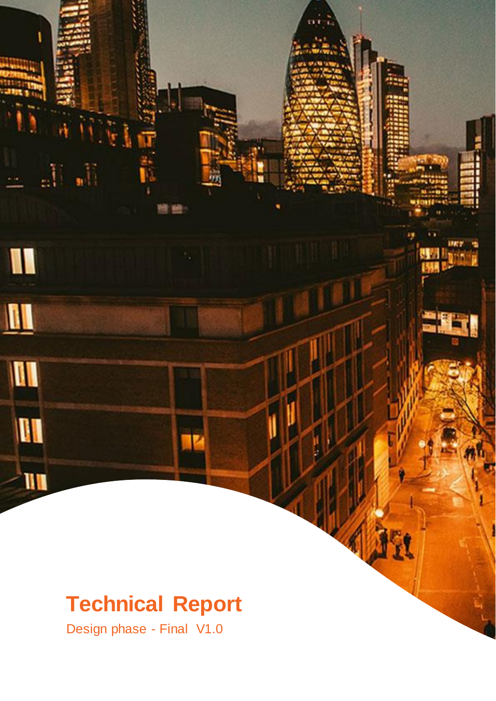## <span id="page-2-0"></span>**Technical Report**

Design phase - Final V1.0

aÜ.

I

 $\blacksquare$ 

II

**QU** 

III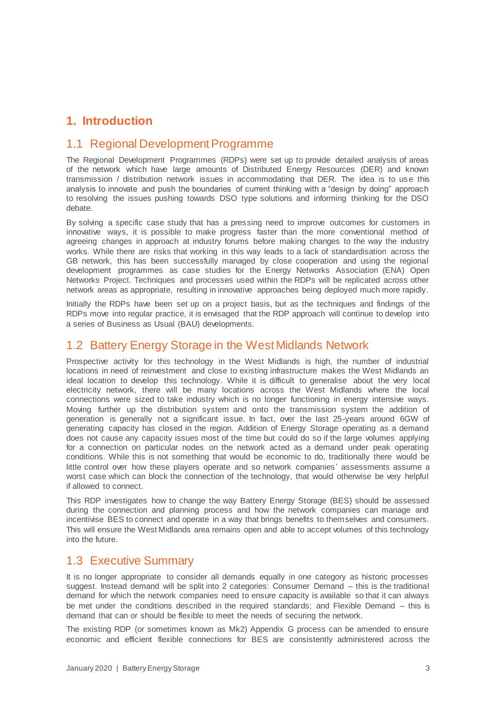## <span id="page-3-0"></span>**1. Introduction**

### <span id="page-3-1"></span>1.1 Regional Development Programme

The Regional Development Programmes (RDPs) were set up to provide detailed analysis of areas of the network which have large amounts of Distributed Energy Resources (DER) and known transmission / distribution network issues in accommodating that DER. The idea is to us e this analysis to innovate and push the boundaries of current thinking with a "design by doing" approach to resolving the issues pushing towards DSO type solutions and informing thinking for the DSO debate.

By solving a specific case study that has a pressing need to improve outcomes for customers in innovative ways, it is possible to make progress faster than the more conventional method of agreeing changes in approach at industry forums before making changes to the way the industry works. While there are risks that working in this way leads to a lack of standardisation across the GB network, this has been successfully managed by close cooperation and using the regional development programmes as case studies for the Energy Networks Association (ENA) Open Networks Project. Techniques and processes used within the RDPs will be replicated across other network areas as appropriate, resulting in innovative approaches being deployed much more rapidly.

Initially the RDPs have been set up on a project basis, but as the techniques and findings of the RDPs move into regular practice, it is envisaged that the RDP approach will continue to develop into a series of Business as Usual (BAU) developments.

## <span id="page-3-2"></span>1.2 Battery Energy Storage in the West Midlands Network

Prospective activity for this technology in the West Midlands is high, the number of industrial locations in need of reinvestment and close to existing infrastructure makes the West Midlands an ideal location to develop this technology. While it is difficult to generalise about the very local electricity network, there will be many locations across the West Midlands where the local connections were sized to take industry which is no longer functioning in energy intensive ways. Moving further up the distribution system and onto the transmission system the addition of generation is generally not a significant issue. In fact, over the last 25-years around 6GW of generating capacity has closed in the region. Addition of Energy Storage operating as a demand does not cause any capacity issues most of the time but could do so if the large volumes applying for a connection on particular nodes on the network acted as a demand under peak operating conditions. While this is not something that would be economic to do, traditionally there would be little control over how these players operate and so network companies' assessments assume a worst case which can block the connection of the technology, that would otherwise be very helpful if allowed to connect.

This RDP investigates how to change the way Battery Energy Storage (BES) should be assessed during the connection and planning process and how the network companies can manage and incentivise BES to connect and operate in a way that brings benefits to themselves and consumers. This will ensure the West Midlands area remains open and able to accept volumes of this technology into the future.

### <span id="page-3-3"></span>1.3 Executive Summary

It is no longer appropriate to consider all demands equally in one category as historic processes suggest. Instead demand will be split into 2 categories: Consumer Demand – this is the traditional demand for which the network companies need to ensure capacity is available so that it can always be met under the conditions described in the required standards; and Flexible Demand – this is demand that can or should be flexible to meet the needs of securing the network.

The existing RDP (or sometimes known as Mk2) Appendix G process can be amended to ensure economic and efficient flexible connections for BES are consistently administered across the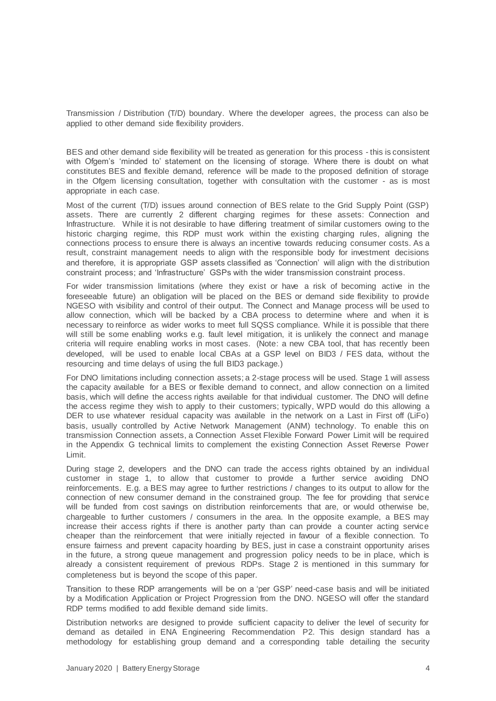Transmission / Distribution (T/D) boundary. Where the developer agrees, the process can also be applied to other demand side flexibility providers.

BES and other demand side flexibility will be treated as generation for this process - this is consistent with Ofgem's 'minded to' statement on the licensing of storage. Where there is doubt on what constitutes BES and flexible demand, reference will be made to the proposed definition of storage in the Ofgem licensing consultation, together with consultation with the customer - as is most appropriate in each case.

Most of the current (T/D) issues around connection of BES relate to the Grid Supply Point (GSP) assets. There are currently 2 different charging regimes for these assets: Connection and Infrastructure. While it is not desirable to have differing treatment of similar customers owing to the historic charging regime, this RDP must work within the existing charging rules, aligning the connections process to ensure there is always an incentive towards reducing consumer costs. As a result, constraint management needs to align with the responsible body for investment decisions and therefore, it is appropriate GSP assets classified as 'Connection' will align with the distribution constraint process; and 'Infrastructure' GSPs with the wider transmission constraint process.

For wider transmission limitations (where they exist or have a risk of becoming active in the foreseeable future) an obligation will be placed on the BES or demand side flexibility to provide NGESO with visibility and control of their output. The Connect and Manage process will be used to allow connection, which will be backed by a CBA process to determine where and when it is necessary to reinforce as wider works to meet full SQSS compliance. While it is possible that there will still be some enabling works e.g. fault level mitigation, it is unlikely the connect and manage criteria will require enabling works in most cases. (Note: a new CBA tool, that has recently been developed, will be used to enable local CBAs at a GSP level on BID3 / FES data, without the resourcing and time delays of using the full BID3 package.)

For DNO limitations including connection assets; a 2-stage process will be used. Stage 1 will assess the capacity available for a BES or flexible demand to connect, and allow connection on a limited basis, which will define the access rights available for that individual customer. The DNO will define the access regime they wish to apply to their customers; typically, WPD would do this allowing a DER to use whatever residual capacity was available in the network on a Last in First off (LiFo) basis, usually controlled by Active Network Management (ANM) technology. To enable this on transmission Connection assets, a Connection Asset Flexible Forward Power Limit will be required in the Appendix G technical limits to complement the existing Connection Asset Reverse Power Limit.

During stage 2, developers and the DNO can trade the access rights obtained by an individual customer in stage 1, to allow that customer to provide a further service avoiding DNO reinforcements. E.g. a BES may agree to further restrictions / changes to its output to allow for the connection of new consumer demand in the constrained group. The fee for providing that service will be funded from cost savings on distribution reinforcements that are, or would otherwise be, chargeable to further customers / consumers in the area. In the opposite example, a BES may increase their access rights if there is another party than can provide a counter acting service cheaper than the reinforcement that were initially rejected in favour of a flexible connection. To ensure fairness and prevent capacity hoarding by BES, just in case a constraint opportunity arises in the future, a strong queue management and progression policy needs to be in place, which is already a consistent requirement of previous RDPs. Stage 2 is mentioned in this summary for completeness but is beyond the scope of this paper.

Transition to these RDP arrangements will be on a 'per GSP' need-case basis and will be initiated by a Modification Application or Project Progression from the DNO. NGESO will offer the standard RDP terms modified to add flexible demand side limits.

Distribution networks are designed to provide sufficient capacity to deliver the level of security for demand as detailed in ENA Engineering Recommendation P2. This design standard has a methodology for establishing group demand and a corresponding table detailing the security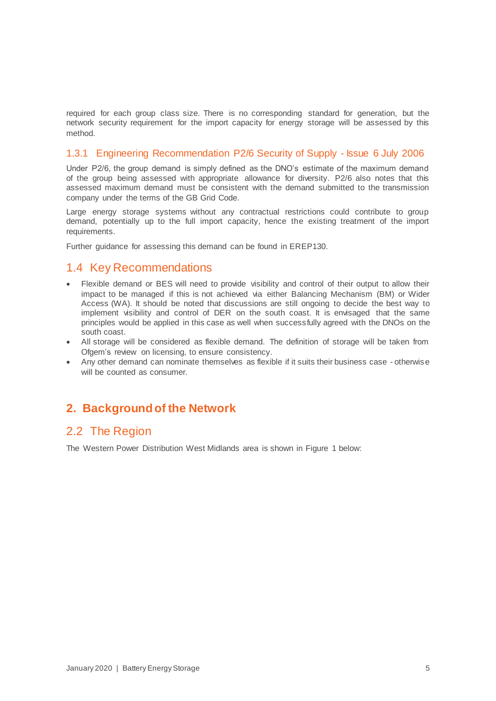required for each group class size. There is no corresponding standard for generation, but the network security requirement for the import capacity for energy storage will be assessed by this method.

#### 1.3.1 Engineering Recommendation P2/6 Security of Supply - Issue 6 July 2006

Under P2/6, the group demand is simply defined as the DNO's estimate of the maximum demand of the group being assessed with appropriate allowance for diversity. P2/6 also notes that this assessed maximum demand must be consistent with the demand submitted to the transmission company under the terms of the GB Grid Code.

Large energy storage systems without any contractual restrictions could contribute to group demand, potentially up to the full import capacity, hence the existing treatment of the import requirements.

Further guidance for assessing this demand can be found in EREP130.

### <span id="page-5-0"></span>1.4 Key Recommendations

- Flexible demand or BES will need to provide visibility and control of their output to allow their impact to be managed if this is not achieved via either Balancing Mechanism (BM) or Wider Access (WA). It should be noted that discussions are still ongoing to decide the best way to implement visibility and control of DER on the south coast. It is envisaged that the same principles would be applied in this case as well when successfully agreed with the DNOs on the south coast.
- All storage will be considered as flexible demand. The definition of storage will be taken from Ofgem's review on licensing, to ensure consistency.
- Any other demand can nominate themselves as flexible if it suits their business case otherwise will be counted as consumer.

## <span id="page-5-1"></span>**2. Backgroundof the Network**

## <span id="page-5-2"></span>2.2 The Region

The Western Power Distribution West Midlands area is shown in [Figure 1](#page-6-1) below: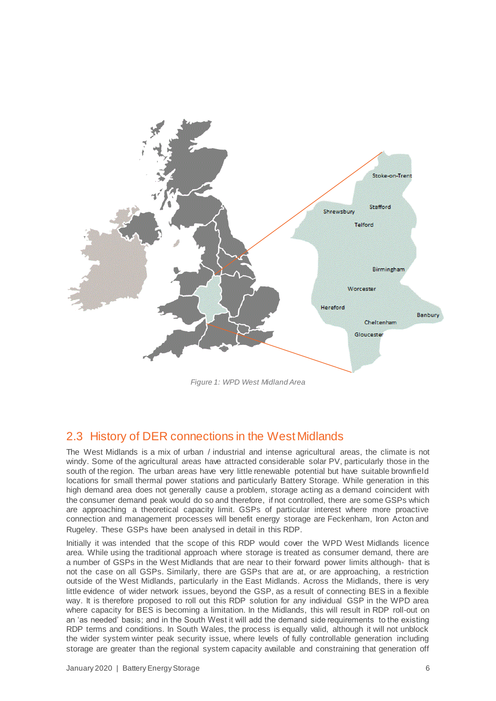

*Figure 1: WPD West Midland Area*

## <span id="page-6-1"></span><span id="page-6-0"></span>2.3 History of DER connections in the West Midlands

The West Midlands is a mix of urban / industrial and intense agricultural areas, the climate is not windy. Some of the agricultural areas have attracted considerable solar PV, particularly those in the south of the region. The urban areas have very little renewable potential but have suitable brownfield locations for small thermal power stations and particularly Battery Storage. While generation in this high demand area does not generally cause a problem, storage acting as a demand coincident with the consumer demand peak would do so and therefore, if not controlled, there are some GSPs which are approaching a theoretical capacity limit. GSPs of particular interest where more proactive connection and management processes will benefit energy storage are Feckenham, Iron Acton and Rugeley. These GSPs have been analysed in detail in this RDP.

Initially it was intended that the scope of this RDP would cover the WPD West Midlands licence area. While using the traditional approach where storage is treated as consumer demand, there are a number of GSPs in the West Midlands that are near to their forward power limits although- that is not the case on all GSPs. Similarly, there are GSPs that are at, or are approaching, a restriction outside of the West Midlands, particularly in the East Midlands. Across the Midlands, there is very little evidence of wider network issues, beyond the GSP, as a result of connecting BES in a flexible way. It is therefore proposed to roll out this RDP solution for any individual GSP in the WPD area where capacity for BES is becoming a limitation. In the Midlands, this will result in RDP roll-out on an 'as needed' basis; and in the South West it will add the demand side requirements to the existing RDP terms and conditions. In South Wales, the process is equally valid, although it will not unblock the wider system winter peak security issue, where levels of fully controllable generation including storage are greater than the regional system capacity available and constraining that generation off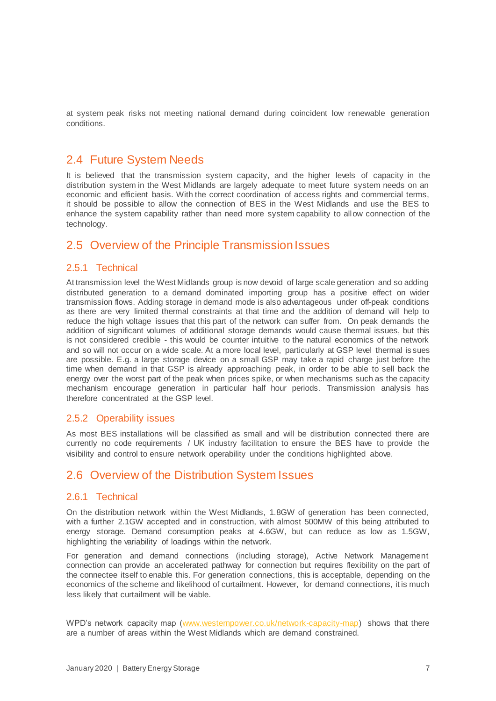at system peak risks not meeting national demand during coincident low renewable generation conditions.

## <span id="page-7-0"></span>2.4 Future System Needs

It is believed that the transmission system capacity, and the higher levels of capacity in the distribution system in the West Midlands are largely adequate to meet future system needs on an economic and efficient basis. With the correct coordination of access rights and commercial terms, it should be possible to allow the connection of BES in the West Midlands and use the BES to enhance the system capability rather than need more system capability to allow connection of the technology.

## <span id="page-7-1"></span>2.5 Overview of the Principle Transmission Issues

#### <span id="page-7-2"></span>2.5.1 Technical

At transmission level the West Midlands group is now devoid of large scale generation and so adding distributed generation to a demand dominated importing group has a positive effect on wider transmission flows. Adding storage in demand mode is also advantageous under off-peak conditions as there are very limited thermal constraints at that time and the addition of demand will help to reduce the high voltage issues that this part of the network can suffer from. On peak demands the addition of significant volumes of additional storage demands would cause thermal issues, but this is not considered credible - this would be counter intuitive to the natural economics of the network and so will not occur on a wide scale. At a more local level, particularly at GSP level thermal is sues are possible. E.g. a large storage device on a small GSP may take a rapid charge just before the time when demand in that GSP is already approaching peak, in order to be able to sell back the energy over the worst part of the peak when prices spike, or when mechanisms such as the capacity mechanism encourage generation in particular half hour periods. Transmission analysis has therefore concentrated at the GSP level.

#### <span id="page-7-3"></span>2.5.2 Operability issues

As most BES installations will be classified as small and will be distribution connected there are currently no code requirements / UK industry facilitation to ensure the BES have to provide the visibility and control to ensure network operability under the conditions highlighted above.

### <span id="page-7-4"></span>2.6 Overview of the Distribution System Issues

#### <span id="page-7-5"></span>2.6.1 Technical

On the distribution network within the West Midlands, 1.8GW of generation has been connected, with a further 2.1GW accepted and in construction, with almost 500MW of this being attributed to energy storage. Demand consumption peaks at 4.6GW, but can reduce as low as 1.5GW, highlighting the variability of loadings within the network.

For generation and demand connections (including storage), Active Network Management connection can provide an accelerated pathway for connection but requires flexibility on the part of the connectee itself to enable this. For generation connections, this is acceptable, depending on the economics of the scheme and likelihood of curtailment. However, for demand connections, it is much less likely that curtailment will be viable.

WPD's network capacity map [\(www.westernpower.co.uk/network-capacity-map\)](file:///C:/Users/ian.pashley/AppData/Local/Microsoft/Windows/Temporary%20Internet%20Files/Content.Outlook/NWB1SMF9/www.westernpower.co.uk/network-capacity-map) shows that there are a number of areas within the West Midlands which are demand constrained.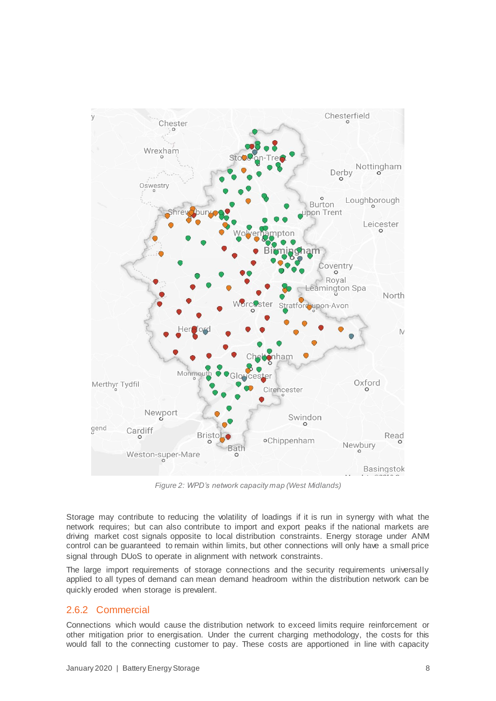

*Figure 2: WPD's network capacity map (West Midlands)*

Storage may contribute to reducing the volatility of loadings if it is run in synergy with what the network requires; but can also contribute to import and export peaks if the national markets are driving market cost signals opposite to local distribution constraints. Energy storage under ANM control can be guaranteed to remain within limits, but other connections will only have a small price signal through DUoS to operate in alignment with network constraints.

The large import requirements of storage connections and the security requirements universally applied to all types of demand can mean demand headroom within the distribution network can be quickly eroded when storage is prevalent.

#### <span id="page-8-0"></span>2.6.2 Commercial

Connections which would cause the distribution network to exceed limits require reinforcement or other mitigation prior to energisation. Under the current charging methodology, the costs for this would fall to the connecting customer to pay. These costs are apportioned in line with capacity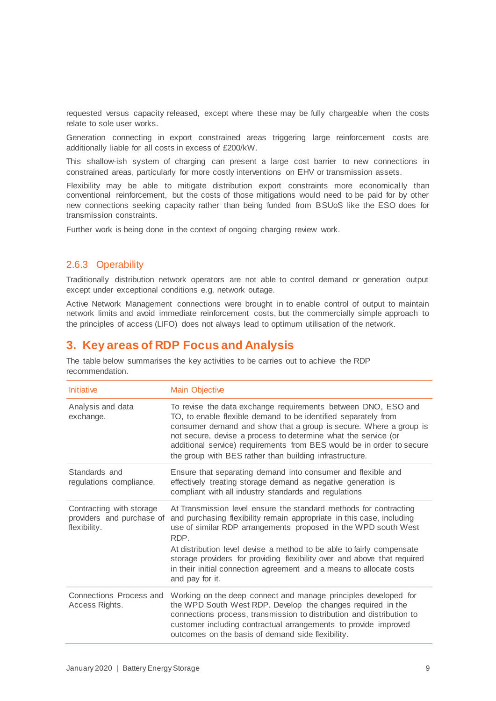requested versus capacity released, except where these may be fully chargeable when the costs relate to sole user works.

Generation connecting in export constrained areas triggering large reinforcement costs are additionally liable for all costs in excess of £200/kW.

This shallow-ish system of charging can present a large cost barrier to new connections in constrained areas, particularly for more costly interventions on EHV or transmission assets.

Flexibility may be able to mitigate distribution export constraints more economically than conventional reinforcement, but the costs of those mitigations would need to be paid for by other new connections seeking capacity rather than being funded from BSUoS like the ESO does for transmission constraints.

Further work is being done in the context of ongoing charging review work.

#### <span id="page-9-0"></span>2.6.3 Operability

Traditionally distribution network operators are not able to control demand or generation output except under exceptional conditions e.g. network outage.

Active Network Management connections were brought in to enable control of output to maintain network limits and avoid immediate reinforcement costs, but the commercially simple approach to the principles of access (LIFO) does not always lead to optimum utilisation of the network.

### <span id="page-9-1"></span>**3. Key areas of RDP Focus and Analysis**

The table below summarises the key activities to be carries out to achieve the RDP recommendation.

| Initiative                                                            | <b>Main Objective</b>                                                                                                                                                                                                                                                                                                                                                                                                                                               |
|-----------------------------------------------------------------------|---------------------------------------------------------------------------------------------------------------------------------------------------------------------------------------------------------------------------------------------------------------------------------------------------------------------------------------------------------------------------------------------------------------------------------------------------------------------|
| Analysis and data<br>exchange.                                        | To revise the data exchange requirements between DNO, ESO and<br>TO, to enable flexible demand to be identified separately from<br>consumer demand and show that a group is secure. Where a group is<br>not secure, devise a process to determine what the service (or<br>additional service) requirements from BES would be in order to secure<br>the group with BES rather than building infrastructure.                                                          |
| Standards and<br>regulations compliance.                              | Ensure that separating demand into consumer and flexible and<br>effectively treating storage demand as negative generation is<br>compliant with all industry standards and regulations                                                                                                                                                                                                                                                                              |
| Contracting with storage<br>providers and purchase of<br>flexibility. | At Transmission level ensure the standard methods for contracting<br>and purchasing flexibility remain appropriate in this case, including<br>use of similar RDP arrangements proposed in the WPD south West<br>RDP.<br>At distribution level devise a method to be able to fairly compensate<br>storage providers for providing flexibility over and above that required<br>in their initial connection agreement and a means to allocate costs<br>and pay for it. |
| Connections Process and<br>Access Rights.                             | Working on the deep connect and manage principles developed for<br>the WPD South West RDP. Develop the changes required in the<br>connections process, transmission to distribution and distribution to<br>customer including contractual arrangements to provide improved<br>outcomes on the basis of demand side flexibility.                                                                                                                                     |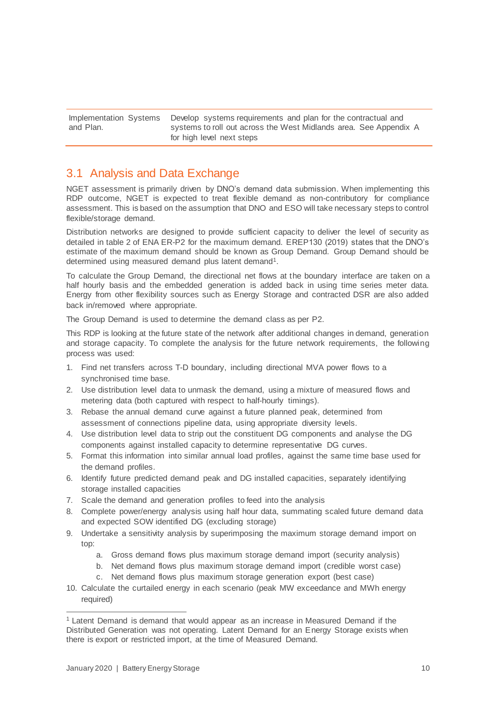Implementation Systems and Plan. Develop systems requirements and plan for the contractual and systems to roll out across the West Midlands area. See Appendix A for high level next steps

## <span id="page-10-0"></span>3.1 Analysis and Data Exchange

NGET assessment is primarily driven by DNO's demand data submission. When implementing this RDP outcome, NGET is expected to treat flexible demand as non-contributory for compliance assessment. This is based on the assumption that DNO and ESO will take necessary steps to control flexible/storage demand.

Distribution networks are designed to provide sufficient capacity to deliver the level of security as detailed in table 2 of ENA ER-P2 for the maximum demand. EREP130 (2019) states that the DNO's estimate of the maximum demand should be known as Group Demand. Group Demand should be determined using measured demand plus latent demand<sup>1</sup>.

To calculate the Group Demand, the directional net flows at the boundary interface are taken on a half hourly basis and the embedded generation is added back in using time series meter data. Energy from other flexibility sources such as Energy Storage and contracted DSR are also added back in/removed where appropriate.

The Group Demand is used to determine the demand class as per P2.

This RDP is looking at the future state of the network after additional changes in demand, generation and storage capacity. To complete the analysis for the future network requirements, the following process was used:

- 1. Find net transfers across T-D boundary, including directional MVA power flows to a synchronised time base.
- 2. Use distribution level data to unmask the demand, using a mixture of measured flows and metering data (both captured with respect to half-hourly timings).
- 3. Rebase the annual demand curve against a future planned peak, determined from assessment of connections pipeline data, using appropriate diversity levels.
- 4. Use distribution level data to strip out the constituent DG components and analyse the DG components against installed capacity to determine representative DG curves.
- 5. Format this information into similar annual load profiles, against the same time base used for the demand profiles.
- 6. Identify future predicted demand peak and DG installed capacities, separately identifying storage installed capacities
- 7. Scale the demand and generation profiles to feed into the analysis
- 8. Complete power/energy analysis using half hour data, summating scaled future demand data and expected SOW identified DG (excluding storage)
- 9. Undertake a sensitivity analysis by superimposing the maximum storage demand import on top:
	- a. Gross demand flows plus maximum storage demand import (security analysis)
	- b. Net demand flows plus maximum storage demand import (credible worst case)
	- c. Net demand flows plus maximum storage generation export (best case)
- 10. Calculate the curtailed energy in each scenario (peak MW exceedance and MWh energy required)

l

<sup>1</sup> Latent Demand is demand that would appear as an increase in Measured Demand if the Distributed Generation was not operating. Latent Demand for an Energy Storage exists when there is export or restricted import, at the time of Measured Demand.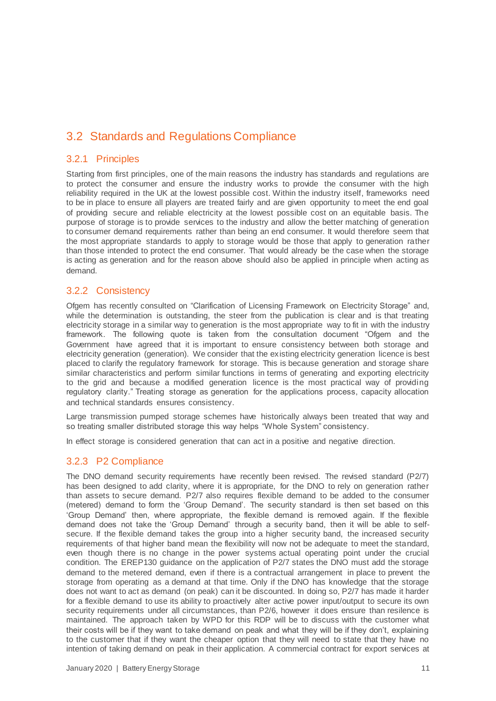## <span id="page-11-0"></span>3.2 Standards and Regulations Compliance

#### <span id="page-11-1"></span>3.2.1 Principles

Starting from first principles, one of the main reasons the industry has standards and regulations are to protect the consumer and ensure the industry works to provide the consumer with the high reliability required in the UK at the lowest possible cost. Within the industry itself, frameworks need to be in place to ensure all players are treated fairly and are given opportunity to meet the end goal of providing secure and reliable electricity at the lowest possible cost on an equitable basis. The purpose of storage is to provide services to the industry and allow the better matching of generation to consumer demand requirements rather than being an end consumer. It would therefore seem that the most appropriate standards to apply to storage would be those that apply to generation rather than those intended to protect the end consumer. That would already be the case when the storage is acting as generation and for the reason above should also be applied in principle when acting as demand.

#### <span id="page-11-2"></span>3.2.2 Consistency

Ofgem has recently consulted on "Clarification of Licensing Framework on Electricity Storage" and, while the determination is outstanding, the steer from the publication is clear and is that treating electricity storage in a similar way to generation is the most appropriate way to fit in with the industry framework. The following quote is taken from the consultation document "Ofgem and the Government have agreed that it is important to ensure consistency between both storage and electricity generation (generation). We consider that the existing electricity generation licence is best placed to clarify the regulatory framework for storage. This is because generation and storage share similar characteristics and perform similar functions in terms of generating and exporting electricity to the grid and because a modified generation licence is the most practical way of providing regulatory clarity." Treating storage as generation for the applications process, capacity allocation and technical standards ensures consistency.

Large transmission pumped storage schemes have historically always been treated that way and so treating smaller distributed storage this way helps "Whole System" consistency.

In effect storage is considered generation that can act in a positive and negative direction.

#### <span id="page-11-3"></span>3.2.3 P2 Compliance

<span id="page-11-4"></span>The DNO demand security requirements have recently been revised. The revised standard (P2/7) has been designed to add clarity, where it is appropriate, for the DNO to rely on generation rather than assets to secure demand. P2/7 also requires flexible demand to be added to the consumer (metered) demand to form the 'Group Demand'. The security standard is then set based on this 'Group Demand' then, where appropriate, the flexible demand is removed again. If the flexible demand does not take the 'Group Demand' through a security band, then it will be able to selfsecure. If the flexible demand takes the group into a higher security band, the increased security requirements of that higher band mean the flexibility will now not be adequate to meet the standard, even though there is no change in the power systems actual operating point under the crucial condition. The EREP130 guidance on the application of P2/7 states the DNO must add the storage demand to the metered demand, even if there is a contractual arrangement in place to prevent the storage from operating as a demand at that time. Only if the DNO has knowledge that the storage does not want to act as demand (on peak) can it be discounted. In doing so, P2/7 has made it harder for a flexible demand to use its ability to proactively alter active power input/output to secure its own security requirements under all circumstances, than P2/6, however it does ensure than resilence is maintained. The approach taken by WPD for this RDP will be to discuss with the customer what their costs will be if they want to take demand on peak and what they will be if they don't, explaining to the customer that if they want the cheaper option that they will need to state that they have no intention of taking demand on peak in their application. A commercial contract for export services at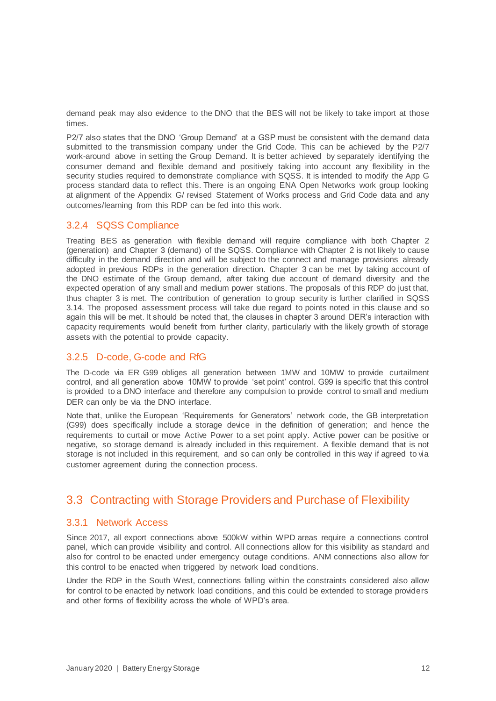demand peak may also evidence to the DNO that the BES will not be likely to take import at those times.

P2/7 also states that the DNO 'Group Demand' at a GSP must be consistent with the demand data submitted to the transmission company under the Grid Code. This can be achieved by the P2/7 work-around above in setting the Group Demand. It is better achieved by separately identifying the consumer demand and flexible demand and positively taking into account any flexibility in the security studies required to demonstrate compliance with SQSS. It is intended to modify the App G process standard data to reflect this. There is an ongoing ENA Open Networks work group looking at alignment of the Appendix G/ revised Statement of Works process and Grid Code data and any outcomes/learning from this RDP can be fed into this work.

#### 3.2.4 SQSS Compliance

Treating BES as generation with flexible demand will require compliance with both Chapter 2 (generation) and Chapter 3 (demand) of the SQSS. Compliance with Chapter 2 is not likely to cause difficulty in the demand direction and will be subject to the connect and manage provisions already adopted in previous RDPs in the generation direction. Chapter 3 can be met by taking account of the DNO estimate of the Group demand, after taking due account of demand diversity and the expected operation of any small and medium power stations. The proposals of this RDP do just that, thus chapter 3 is met. The contribution of generation to group security is further clarified in SQSS 3.14. The proposed assessment process will take due regard to points noted in this clause and so again this will be met. It should be noted that, the clauses in chapter 3 around DER's interaction with capacity requirements would benefit from further clarity, particularly with the likely growth of storage assets with the potential to provide capacity.

#### <span id="page-12-0"></span>3.2.5 D-code, G-code and RfG

The D-code via ER G99 obliges all generation between 1MW and 10MW to provide curtailment control, and all generation above 10MW to provide 'set point' control. G99 is specific that this control is provided to a DNO interface and therefore any compulsion to provide control to small and medium DER can only be via the DNO interface.

Note that, unlike the European 'Requirements for Generators' network code, the GB interpretation (G99) does specifically include a storage device in the definition of generation; and hence the requirements to curtail or move Active Power to a set point apply. Active power can be positive or negative, so storage demand is already included in this requirement. A flexible demand that is not storage is not included in this requirement, and so can only be controlled in this way if agreed to via customer agreement during the connection process.

## <span id="page-12-1"></span>3.3 Contracting with Storage Providers and Purchase of Flexibility

#### 3.3.1 Network Access

Since 2017, all export connections above 500kW within WPD areas require a connections control panel, which can provide visibility and control. All connections allow for this visibility as standard and also for control to be enacted under emergency outage conditions. ANM connections also allow for this control to be enacted when triggered by network load conditions.

Under the RDP in the South West, connections falling within the constraints considered also allow for control to be enacted by network load conditions, and this could be extended to storage providers and other forms of flexibility across the whole of WPD's area.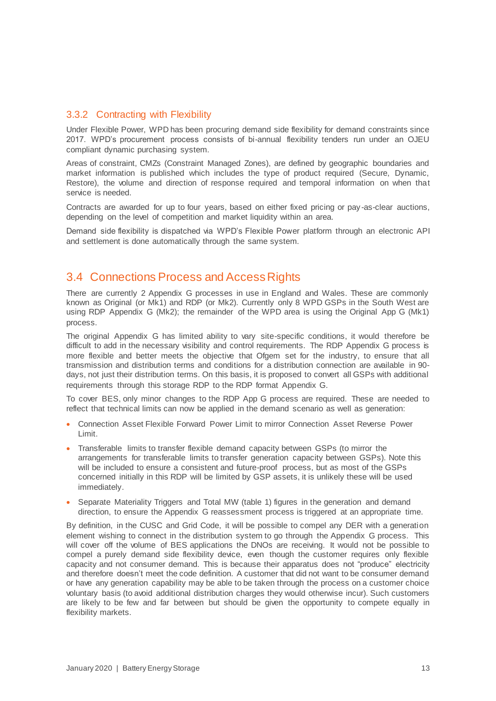#### 3.3.2 Contracting with Flexibility

Under Flexible Power, WPD has been procuring demand side flexibility for demand constraints since 2017. WPD's procurement process consists of bi-annual flexibility tenders run under an OJEU compliant dynamic purchasing system.

Areas of constraint, CMZs (Constraint Managed Zones), are defined by geographic boundaries and market information is published which includes the type of product required (Secure, Dynamic, Restore), the volume and direction of response required and temporal information on when that service is needed.

Contracts are awarded for up to four years, based on either fixed pricing or pay-as-clear auctions, depending on the level of competition and market liquidity within an area.

Demand side flexibility is dispatched via WPD's Flexible Power platform through an electronic API and settlement is done automatically through the same system.

## <span id="page-13-0"></span>3.4 Connections Process and Access Rights

There are currently 2 Appendix G processes in use in England and Wales. These are commonly known as Original (or Mk1) and RDP (or Mk2). Currently only 8 WPD GSPs in the South West are using RDP Appendix G (Mk2); the remainder of the WPD area is using the Original App G (Mk1) process.

The original Appendix G has limited ability to vary site-specific conditions, it would therefore be difficult to add in the necessary visibility and control requirements. The RDP Appendix G process is more flexible and better meets the objective that Ofgem set for the industry, to ensure that all transmission and distribution terms and conditions for a distribution connection are available in 90 days, not just their distribution terms. On this basis, it is proposed to convert all GSPs with additional requirements through this storage RDP to the RDP format Appendix G.

To cover BES, only minor changes to the RDP App G process are required. These are needed to reflect that technical limits can now be applied in the demand scenario as well as generation:

- Connection Asset Flexible Forward Power Limit to mirror Connection Asset Reverse Power Limit.
- Transferable limits to transfer flexible demand capacity between GSPs (to mirror the arrangements for transferable limits to transfer generation capacity between GSPs). Note this will be included to ensure a consistent and future-proof process, but as most of the GSPs concerned initially in this RDP will be limited by GSP assets, it is unlikely these will be used immediately.
- Separate Materiality Triggers and Total MW (table 1) figures in the generation and demand direction, to ensure the Appendix G reassessment process is triggered at an appropriate time.

By definition, in the CUSC and Grid Code, it will be possible to compel any DER with a generation element wishing to connect in the distribution system to go through the Appendix G process. This will cover off the volume of BES applications the DNOs are receiving. It would not be possible to compel a purely demand side flexibility device, even though the customer requires only flexible capacity and not consumer demand. This is because their apparatus does not "produce" electricity and therefore doesn't meet the code definition. A customer that did not want to be consumer demand or have any generation capability may be able to be taken through the process on a customer choice voluntary basis (to avoid additional distribution charges they would otherwise incur). Such customers are likely to be few and far between but should be given the opportunity to compete equally in flexibility markets.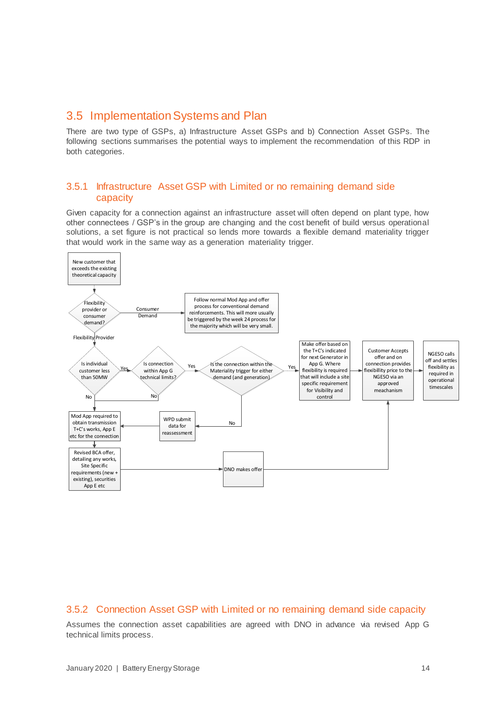## <span id="page-14-0"></span>3.5 Implementation Systems and Plan

There are two type of GSPs, a) Infrastructure Asset GSPs and b) Connection Asset GSPs. The following sections summarises the potential ways to implement the recommendation of this RDP in both categories.

#### 3.5.1 Infrastructure Asset GSP with Limited or no remaining demand side capacity

Given capacity for a connection against an infrastructure asset will often depend on plant type, how other connectees / GSP's in the group are changing and the cost benefit of build versus operational solutions, a set figure is not practical so lends more towards a flexible demand materiality trigger that would work in the same way as a generation materiality trigger.



#### 3.5.2 Connection Asset GSP with Limited or no remaining demand side capacity

Assumes the connection asset capabilities are agreed with DNO in advance via revised App G technical limits process.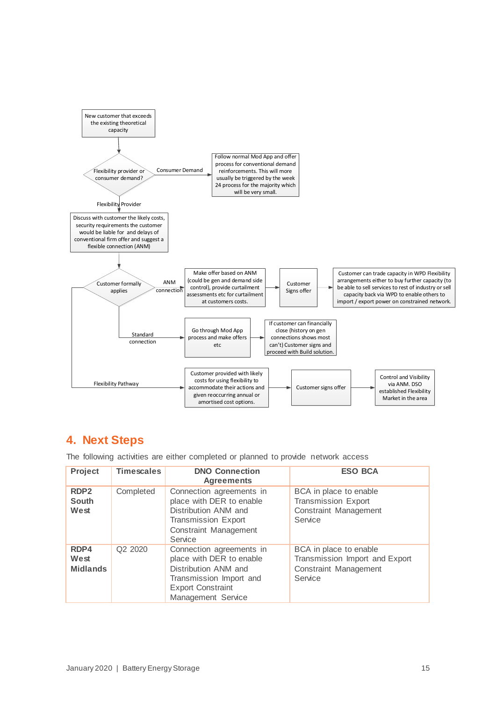

## **4. Next Steps**

The following activities are either completed or planned to provide network access

| Project<br><b>Timescales</b>             |                                 | <b>DNO Connection</b><br><b>Agreements</b>                                                                                                                | <b>ESO BCA</b>                                                                               |
|------------------------------------------|---------------------------------|-----------------------------------------------------------------------------------------------------------------------------------------------------------|----------------------------------------------------------------------------------------------|
| RDP <sub>2</sub><br><b>South</b><br>West | Completed                       | Connection agreements in<br>place with DER to enable<br>Distribution ANM and<br>Transmission Export<br>Constraint Management<br>Service                   | BCA in place to enable<br><b>Transmission Export</b><br>Constraint Management<br>Service     |
| RDP4<br>West<br><b>Midlands</b>          | Q <sub>2</sub> 20 <sub>20</sub> | Connection agreements in<br>place with DER to enable<br>Distribution ANM and<br>Transmission Import and<br><b>Export Constraint</b><br>Management Service | BCA in place to enable<br>Transmission Import and Export<br>Constraint Management<br>Service |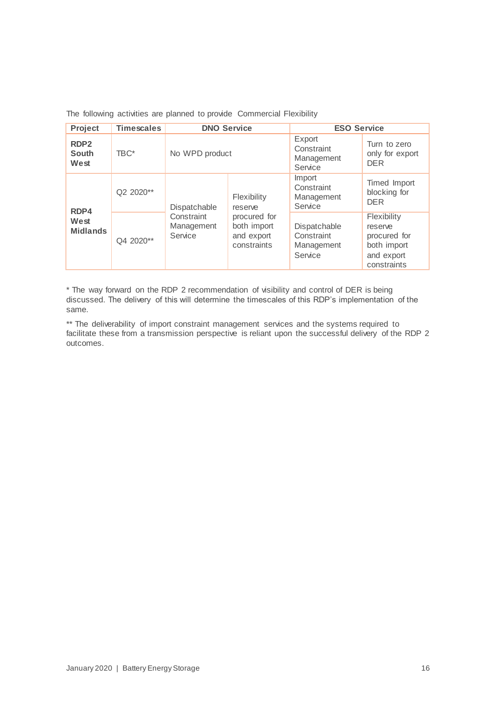The following activities are planned to provide Commercial Flexibility

| Project                                  | <b>Timescales</b> | <b>DNO Service</b>                                  |                                                                                    | <b>ESO Service</b>                                  |                                                                                    |  |
|------------------------------------------|-------------------|-----------------------------------------------------|------------------------------------------------------------------------------------|-----------------------------------------------------|------------------------------------------------------------------------------------|--|
| RDP <sub>2</sub><br><b>South</b><br>West | TBC*              | No WPD product                                      |                                                                                    | Export<br>Constraint<br>Management<br>Service       | Turn to zero<br>only for export<br><b>DER</b>                                      |  |
| RDP4                                     | Q2 2020**         | Dispatchable<br>Constraint<br>Management<br>Service | Flexibility<br>reserve<br>procured for<br>both import<br>and export<br>constraints | Import<br>Constraint<br>Management<br>Service       | Timed Import<br>blocking for<br><b>DER</b>                                         |  |
| West<br><b>Midlands</b>                  | Q4 2020**         |                                                     |                                                                                    | Dispatchable<br>Constraint<br>Management<br>Service | Flexibility<br>reserve<br>procured for<br>both import<br>and export<br>constraints |  |

\* The way forward on the RDP 2 recommendation of visibility and control of DER is being discussed. The delivery of this will determine the timescales of this RDP's implementation of the same.

\*\* The deliverability of import constraint management services and the systems required to facilitate these from a transmission perspective is reliant upon the successful delivery of the RDP 2 outcomes.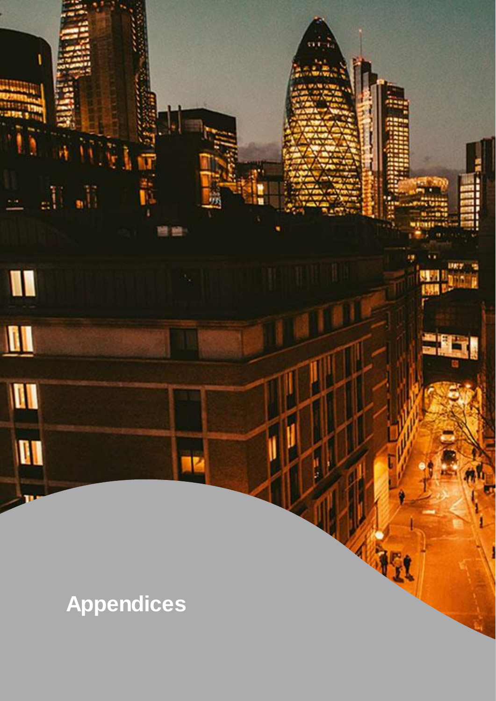<span id="page-17-0"></span>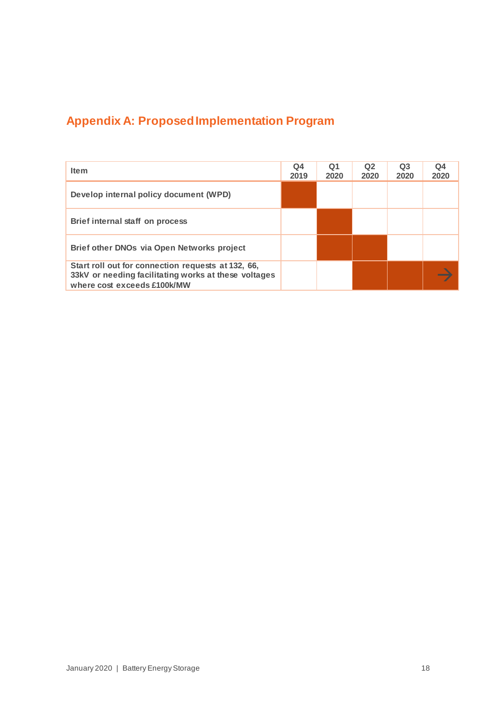## **Appendix A: Proposed Implementation Program**

| <b>Item</b>                                                                                                                               | Q4<br>2019 | Q1<br>2020 | Q <sub>2</sub><br>2020 | Q <sub>3</sub><br>2020 | Q4<br>2020 |
|-------------------------------------------------------------------------------------------------------------------------------------------|------------|------------|------------------------|------------------------|------------|
| Develop internal policy document (WPD)                                                                                                    |            |            |                        |                        |            |
| Brief internal staff on process                                                                                                           |            |            |                        |                        |            |
| Brief other DNOs via Open Networks project                                                                                                |            |            |                        |                        |            |
| Start roll out for connection requests at 132, 66,<br>33kV or needing facilitating works at these voltages<br>where cost exceeds £100k/MW |            |            |                        |                        |            |